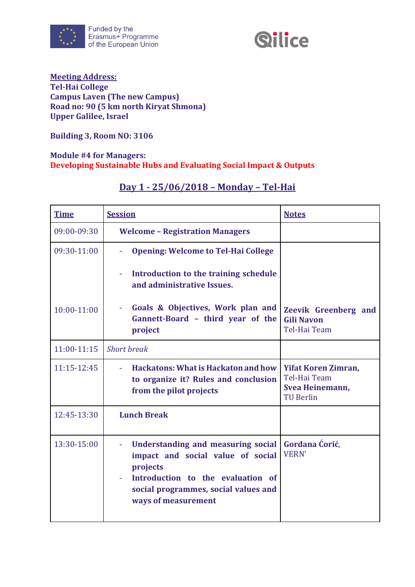



#### **Meeting Address: Tel-Hai College Campus Laven (The new Campus) Road no: 90 (5 km north Kiryat Shmona) Upper Galilee, Israel**

**Building 3, Room NO: 3106**

#### **Module #4 for Managers: Developing Sustainable Hubs and Evaluating Social Impact & Outputs**

| <b>Time</b> | <b>Session</b>                                                                                                                                                                          | <b>Notes</b>                                                                      |
|-------------|-----------------------------------------------------------------------------------------------------------------------------------------------------------------------------------------|-----------------------------------------------------------------------------------|
| 09:00-09:30 | <b>Welcome - Registration Managers</b>                                                                                                                                                  |                                                                                   |
| 09:30-11:00 | <b>Opening: Welcome to Tel-Hai College</b>                                                                                                                                              |                                                                                   |
|             | Introduction to the training schedule<br>and administrative Issues.                                                                                                                     |                                                                                   |
| 10:00-11:00 | Goals & Objectives, Work plan and<br>Gannett-Board - third year of the<br>project                                                                                                       | <b>Zeevik Greenberg and</b><br><b>Gili Navon</b><br>Tel-Hai Team                  |
| 11:00-11:15 | <b>Short</b> break                                                                                                                                                                      |                                                                                   |
| 11:15-12:45 | <b>Hackatons: What is Hackaton and how</b><br>to organize it? Rules and conclusion<br>from the pilot projects                                                                           | <b>Yifat Koren Zimran,</b><br>Tel-Hai Team<br>Svea Heinemann,<br><b>TU Berlin</b> |
| 12:45-13:30 | <b>Lunch Break</b>                                                                                                                                                                      |                                                                                   |
| 13:30-15:00 | Understanding and measuring social<br>impact and social value of social<br>projects<br>Introduction to the evaluation of<br>social programmes, social values and<br>ways of measurement | Gordana Ćorić,<br><b>VERN'</b>                                                    |

### **Day 1 - 25/06/2018 – Monday – Tel-Hai**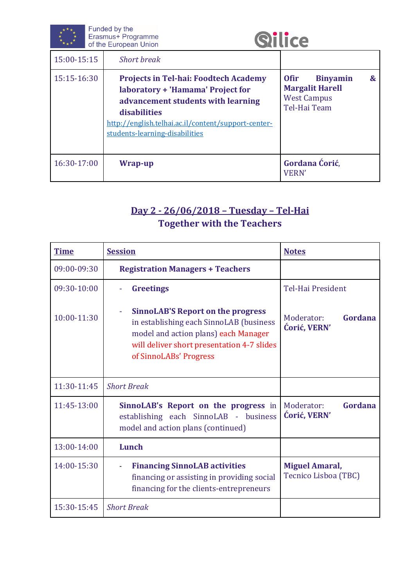|             | Funded by the<br>Erasmus+ Programme<br><b><i><u>Silice</u></i></b><br>of the European Union                                                                                                                                      |                                                                                                                         |  |
|-------------|----------------------------------------------------------------------------------------------------------------------------------------------------------------------------------------------------------------------------------|-------------------------------------------------------------------------------------------------------------------------|--|
| 15:00-15:15 | <b>Short break</b>                                                                                                                                                                                                               |                                                                                                                         |  |
| 15:15-16:30 | <b>Projects in Tel-hai: Foodtech Academy</b><br>laboratory + 'Hamama' Project for<br>advancement students with learning<br>disabilities<br>http://english.telhai.ac.il/content/support-center-<br>students-learning-disabilities | <b>Binyamin</b><br>$\boldsymbol{\alpha}$<br><b>Ofir</b><br><b>Margalit Harell</b><br><b>West Campus</b><br>Tel-Hai Team |  |
| 16:30-17:00 | Wrap-up                                                                                                                                                                                                                          | Gordana Ćorić,<br><b>VERN'</b>                                                                                          |  |

# **Day 2 - 26/06/2018 – Tuesday – Tel-Hai Together with the Teachers**

| <b>Time</b> | <b>Session</b>                                                                                                                                                                                      | <b>Notes</b>                                  |
|-------------|-----------------------------------------------------------------------------------------------------------------------------------------------------------------------------------------------------|-----------------------------------------------|
| 09:00-09:30 | <b>Registration Managers + Teachers</b>                                                                                                                                                             |                                               |
| 09:30-10:00 | <b>Greetings</b>                                                                                                                                                                                    | <b>Tel-Hai President</b>                      |
| 10:00-11:30 | <b>SinnoLAB'S Report on the progress</b><br>in establishing each SinnoLAB (business<br>model and action plans) each Manager<br>will deliver short presentation 4-7 slides<br>of SinnoLABs' Progress | Gordana<br>Moderator:<br>Ćorić, VERN'         |
| 11:30-11:45 | <b>Short Break</b>                                                                                                                                                                                  |                                               |
| 11:45-13:00 | SinnoLAB's Report on the progress in<br>establishing each SinnoLAB - business<br>model and action plans (continued)                                                                                 | Gordana<br>Moderator:<br>Ćorić, VERN'         |
| 13:00-14:00 | Lunch                                                                                                                                                                                               |                                               |
| 14:00-15:30 | <b>Financing SinnoLAB activities</b><br>financing or assisting in providing social<br>financing for the clients-entrepreneurs                                                                       | <b>Miguel Amaral,</b><br>Tecnico Lisboa (TBC) |
| 15:30-15:45 | <b>Short Break</b>                                                                                                                                                                                  |                                               |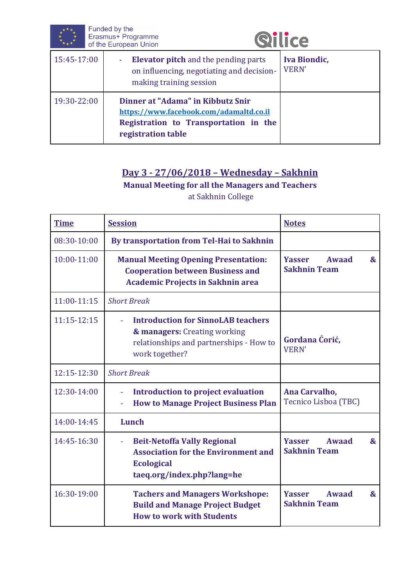



| 15:45-17:00 | <b>Elevator pitch</b> and the pending parts<br>on influencing, negotiating and decision-<br>making training session                         | <b>Iva Biondic,</b><br><b>VERN'</b> |
|-------------|---------------------------------------------------------------------------------------------------------------------------------------------|-------------------------------------|
| 19:30-22:00 | Dinner at "Adama" in Kibbutz Snir<br>https://www.facebook.com/adamaltd.co.il<br>Registration to Transportation in the<br>registration table |                                     |

## **Day 3 - 27/06/2018 – Wednesday – Sakhnin**

**Manual Meeting for all the Managers and Teachers** at Sakhnin College

| <b>Time</b> | <b>Session</b>                                                                                                                            | <b>Notes</b>                                                                  |
|-------------|-------------------------------------------------------------------------------------------------------------------------------------------|-------------------------------------------------------------------------------|
| 08:30-10:00 | By transportation from Tel-Hai to Sakhnin                                                                                                 |                                                                               |
| 10:00-11:00 | <b>Manual Meeting Opening Presentation:</b><br><b>Cooperation between Business and</b><br><b>Academic Projects in Sakhnin area</b>        | <b>Yasser</b><br>Awaad<br>$\boldsymbol{\alpha}$<br><b>Sakhnin Team</b>        |
| 11:00-11:15 | <b>Short Break</b>                                                                                                                        |                                                                               |
| 11:15-12:15 | <b>Introduction for SinnoLAB teachers</b><br>& managers: Creating working<br>relationships and partnerships - How to<br>work together?    | Gordana Ćorić,<br><b>VERN'</b>                                                |
| 12:15-12:30 | <b>Short Break</b>                                                                                                                        |                                                                               |
| 12:30-14:00 | <b>Introduction to project evaluation</b><br>÷,<br><b>How to Manage Project Business Plan</b><br>÷,                                       | Ana Carvalho,<br>Tecnico Lisboa (TBC)                                         |
| 14:00-14:45 | Lunch                                                                                                                                     |                                                                               |
| 14:45-16:30 | <b>Beit-Netoffa Vally Regional</b><br>÷,<br><b>Association for the Environment and</b><br><b>Ecological</b><br>taeq.org/index.php?lang=he | <b>Yasser</b><br><b>Awaad</b><br>$\boldsymbol{\alpha}$<br><b>Sakhnin Team</b> |
| 16:30-19:00 | <b>Tachers and Managers Workshope:</b><br><b>Build and Manage Project Budget</b><br><b>How to work with Students</b>                      | <b>Yasser</b><br><b>Awaad</b><br>$\boldsymbol{\&}$<br><b>Sakhnin Team</b>     |